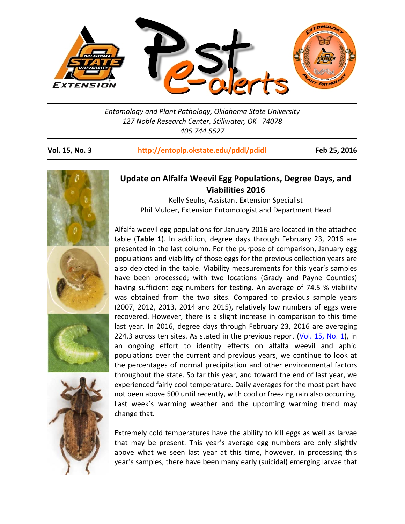

*Entomology and Plant Pathology, Oklahoma State University 127 Noble Research Center, Stillwater, OK 74078 405.744.5527* 

## **Vol. 15, No. 3 http://entoplp.okstate.edu/pddl/pdidl Feb 25, 2016**



## **Update on Alfalfa Weevil Egg Populations, Degree Days, and Viabilities 2016**

Kelly Seuhs, Assistant Extension Specialist Phil Mulder, Extension Entomologist and Department Head

Alfalfa weevil egg populations for January 2016 are located in the attached table (**Table 1**). In addition, degree days through February 23, 2016 are presented in the last column. For the purpose of comparison, January egg populations and viability of those eggs for the previous collection years are also depicted in the table. Viability measurements for this year's samples have been processed; with two locations (Grady and Payne Counties) having sufficient egg numbers for testing. An average of 74.5 % viability was obtained from the two sites. Compared to previous sample years (2007, 2012, 2013, 2014 and 2015), relatively low numbers of eggs were recovered. However, there is a slight increase in comparison to this time last year. In 2016, degree days through February 23, 2016 are averaging 224.3 across ten sites. As stated in the previous report (Vol. 15, No. 1), in an ongoing effort to identity effects on alfalfa weevil and aphid populations over the current and previous years, we continue to look at the percentages of normal precipitation and other environmental factors throughout the state. So far this year, and toward the end of last year, we experienced fairly cool temperature. Daily averages for the most part have not been above 500 until recently, with cool or freezing rain also occurring. Last week's warming weather and the upcoming warming trend may change that.

Extremely cold temperatures have the ability to kill eggs as well as larvae that may be present. This year's average egg numbers are only slightly above what we seen last year at this time, however, in processing this year's samples, there have been many early (suicidal) emerging larvae that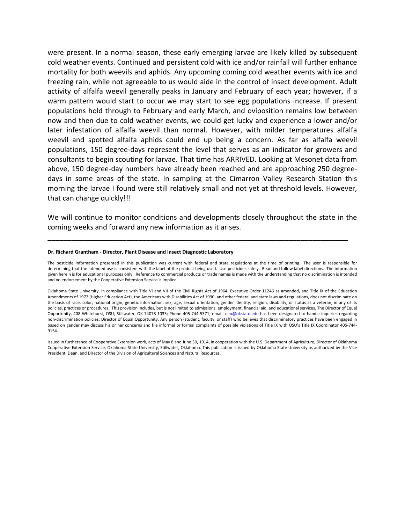were present. In a normal season, these early emerging larvae are likely killed by subsequent cold weather events. Continued and persistent cold with ice and/or rainfall will further enhance mortality for both weevils and aphids. Any upcoming coming cold weather events with ice and freezing rain, while not agreeable to us would aide in the control of insect development. Adult activity of alfalfa weevil generally peaks in January and February of each year; however, if a warm pattern would start to occur we may start to see egg populations increase. If present populations hold through to February and early March, and oviposition remains low between now and then due to cold weather events, we could get lucky and experience a lower and/or later infestation of alfalfa weevil than normal. However, with milder temperatures alfalfa weevil and spotted alfalfa aphids could end up being a concern. As far as alfalfa weevil populations, 150 degree-days represent the level that serves as an indicator for growers and consultants to begin scouting for larvae. That time has ARRIVED. Looking at Mesonet data from above, 150 degree‐day numbers have already been reached and are approaching 250 degree‐ days in some areas of the state. In sampling at the Cimarron Valley Research Station this morning the larvae I found were still relatively small and not yet at threshold levels. However, that can change quickly!!!

We will continue to monitor conditions and developments closely throughout the state in the coming weeks and forward any new information as it arises.

\_\_\_\_\_\_\_\_\_\_\_\_\_\_\_\_\_\_\_\_\_\_\_\_\_\_\_\_\_\_\_\_\_\_\_\_\_\_\_\_\_\_\_\_\_\_\_\_\_\_\_\_\_\_\_\_\_\_\_\_\_\_\_\_\_\_\_\_\_\_\_\_\_\_\_\_

## **Dr. Richard Grantham ‐ Director, Plant Disease and Insect Diagnostic Laboratory**

The pesticide information presented in this publication was current with federal and state regulations at the time of printing. The user is responsible for determining that the intended use is consistent with the label of the product being used. Use pesticides safely. Read and follow label directions. The information given herein is for educational purposes only. Reference to commercial products or trade names is made with the understanding that no discrimination is intended and no endorsement by the Cooperative Extension Service is implied.

Oklahoma State University, in compliance with Title VI and VII of the Civil Rights Act of 1964, Executive Order 11246 as amended, and Title IX of the Education Amendments of 1972 (Higher Education Act), the Americans with Disabilities Act of 1990, and other federal and state laws and regulations, does not discriminate on the basis of race, color, national origin, genetic information, sex, age, sexual orientation, gender identity, religion, disability, or status as a veteran, in any of its policies, practices or procedures. This provision includes, but is not limited to admissions, employment, financial aid, and educational services. The Director of Equal Opportunity, 408 Whitehurst, OSU, Stillwater, OK 74078-1035; Phone 405-744-5371; email: eeo@okstate.edu has been designated to handle inquiries regarding non-discrimination policies: Director of Equal Opportunity. Any person (student, faculty, or staff) who believes that discriminatory practices have been engaged in based on gender may discuss his or her concerns and file informal or formal complaints of possible violations of Title IX with OSU's Title IX Coordinator 405‐744‐ 9154.

Issued in furtherance of Cooperative Extension work, acts of May 8 and June 30, 1914, in cooperation with the U.S. Department of Agriculture, Director of Oklahoma Cooperative Extension Service, Oklahoma State University, Stillwater, Oklahoma. This publication is issued by Oklahoma State University as authorized by the Vice President, Dean, and Director of the Division of Agricultural Sciences and Natural Resources.